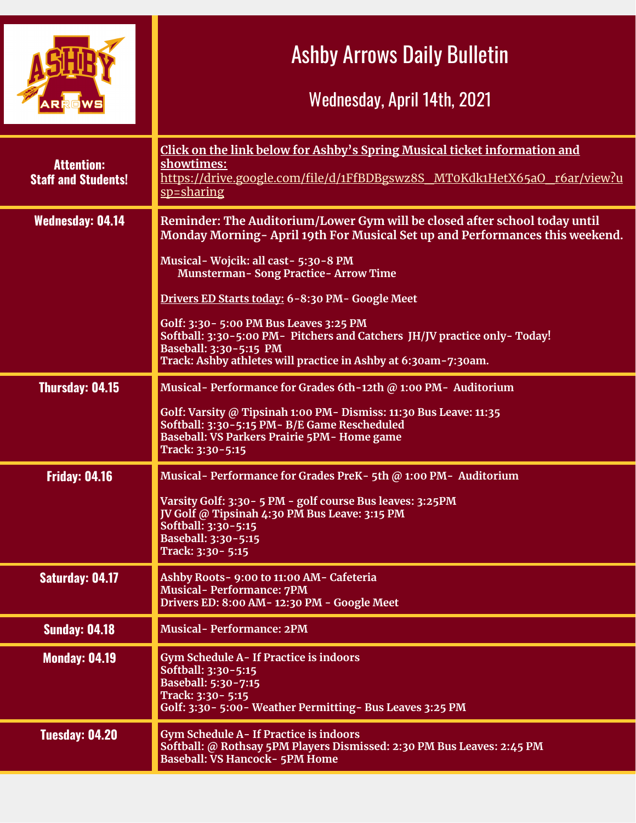|                                                 | <b>Ashby Arrows Daily Bulletin</b><br>Wednesday, April 14th, 2021                                                                                                                                                                                                  |
|-------------------------------------------------|--------------------------------------------------------------------------------------------------------------------------------------------------------------------------------------------------------------------------------------------------------------------|
| <b>Attention:</b><br><b>Staff and Students!</b> | Click on the link below for Ashby's Spring Musical ticket information and<br>showtimes:<br>https://drive.google.com/file/d/1FfBDBgswz8S_MT0Kdk1HetX65aO_r6ar/view?u<br>sp=sharing                                                                                  |
| <b>Wednesday: 04.14</b>                         | Reminder: The Auditorium/Lower Gym will be closed after school today until<br>Monday Morning-April 19th For Musical Set up and Performances this weekend.<br>Musical-Wojcik: all cast-5:30-8 PM<br><b>Munsterman-Song Practice-Arrow Time</b>                      |
|                                                 | Drivers ED Starts today: 6-8:30 PM- Google Meet<br>Golf: 3:30 - 5:00 PM Bus Leaves 3:25 PM<br>Softball: 3:30-5:00 PM- Pitchers and Catchers JH/JV practice only-Today!<br>Baseball: 3:30-5:15 PM<br>Track: Ashby athletes will practice in Ashby at 6:30am-7:30am. |
| <b>Thursday: 04.15</b>                          | Musical-Performance for Grades 6th-12th @ 1:00 PM- Auditorium<br>Golf: Varsity @ Tipsinah 1:00 PM - Dismiss: 11:30 Bus Leave: 11:35<br>Softball: 3:30-5:15 PM- B/E Game Rescheduled<br>Baseball: VS Parkers Prairie 5PM- Home game<br>Track: 3:30-5:15             |
| <b>Friday: 04.16</b>                            | Musical-Performance for Grades PreK-5th @ 1:00 PM-Auditorium<br>Varsity Golf: 3:30 - 5 PM - golf course Bus leaves: 3:25 PM<br>JV Golf @ Tipsinah 4:30 PM Bus Leave: 3:15 PM<br>Softball: 3:30-5:15<br>Baseball: 3:30-5:15<br>Track: 3:30 - 5:15                   |
| Saturday: 04.17                                 | Ashby Roots- 9:00 to 11:00 AM- Cafeteria<br><b>Musical-Performance: 7PM</b><br>Drivers ED: 8:00 AM-12:30 PM - Google Meet                                                                                                                                          |
| <b>Sunday: 04.18</b>                            | <b>Musical-Performance: 2PM</b>                                                                                                                                                                                                                                    |
| <b>Monday: 04.19</b>                            | <b>Gym Schedule A- If Practice is indoors</b><br>Softball: 3:30-5:15<br>Baseball: 5:30-7:15<br>Track: 3:30 - 5:15<br>Golf: 3:30 - 5:00 - Weather Permitting - Bus Leaves 3:25 PM                                                                                   |
| <b>Tuesday: 04.20</b>                           | <b>Gym Schedule A- If Practice is indoors</b><br>Softball: @ Rothsay 5PM Players Dismissed: 2:30 PM Bus Leaves: 2:45 PM<br><b>Baseball: VS Hancock- 5PM Home</b>                                                                                                   |